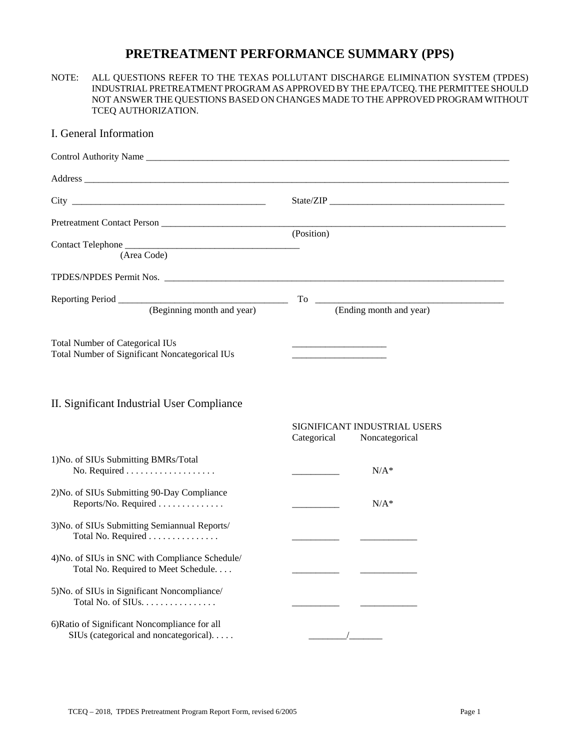# **PRETREATMENT PERFORMANCE SUMMARY (PPS)**

#### NOTE: ALL QUESTIONS REFER TO THE TEXAS POLLUTANT DISCHARGE ELIMINATION SYSTEM (TPDES) INDUSTRIAL PRETREATMENT PROGRAM AS APPROVED BY THE EPA/TCEQ. THE PERMITTEE SHOULD NOT ANSWER THE QUESTIONS BASED ON CHANGES MADE TO THE APPROVED PROGRAM WITHOUT TCEQ AUTHORIZATION.

## I. General Information

| City the contract of the contract of the contract of the contract of the contract of the contract of the contract of the contract of the contract of the contract of the contract of the contract of the contract of the contr | State/ZIP                     |  |
|--------------------------------------------------------------------------------------------------------------------------------------------------------------------------------------------------------------------------------|-------------------------------|--|
| Pretreatment Contact Person                                                                                                                                                                                                    | (Position)                    |  |
| (Area Code)                                                                                                                                                                                                                    |                               |  |
|                                                                                                                                                                                                                                |                               |  |
| (Beginning month and year)                                                                                                                                                                                                     | (Ending month and year)       |  |
| <b>Total Number of Categorical IUs</b><br><b>Total Number of Significant Noncategorical IUs</b>                                                                                                                                |                               |  |
| II. Significant Industrial User Compliance                                                                                                                                                                                     | SIGNIFICANT INDUSTRIAL USERS  |  |
|                                                                                                                                                                                                                                | Categorical<br>Noncategorical |  |
| 1) No. of SIUs Submitting BMRs/Total                                                                                                                                                                                           | $N/A^*$                       |  |
| 2) No. of SIUs Submitting 90-Day Compliance<br>Reports/No. Required                                                                                                                                                            | $N/A^*$                       |  |
| 3) No. of SIUs Submitting Semiannual Reports/<br>Total No. Required                                                                                                                                                            |                               |  |
| 4) No. of SIUs in SNC with Compliance Schedule/<br>Total No. Required to Meet Schedule.                                                                                                                                        |                               |  |
| 5) No. of SIUs in Significant Noncompliance/<br>Total No. of SIUs.                                                                                                                                                             |                               |  |
| 6) Ratio of Significant Noncompliance for all<br>SIUs (categorical and noncategorical).                                                                                                                                        |                               |  |